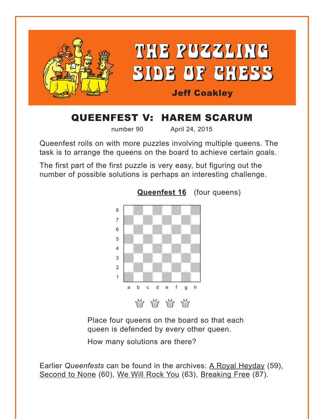<span id="page-0-0"></span>

## QUEENFEST V: HAREM SCARUM

number 90 April 24, 2015

Queenfest rolls on with more puzzles involving multiple queens. The task is to arrange the queens on the board to achieve certain goals.

The first part of the first puzzle is very easy, but figuring out the number of possible solutions is perhaps an interesting challenge.



**[Queenfest 16](#page-3-0)** (four queens)

Place four queens on the board so that each queen is defended by every other queen.

How many solutions are there?

Earlier *Queenfests* can be found in the archives: A Royal Heyday (59), Second to None (60), We Will Rock You (63), Breaking Free (87).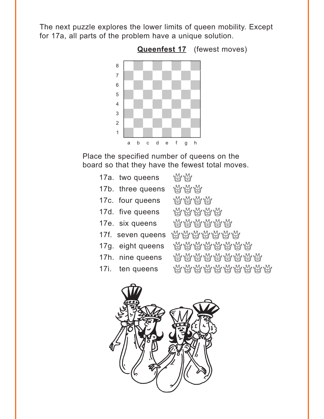<span id="page-1-0"></span>The next puzzle explores the lower limits of queen mobility. Except for 17a, all parts of the problem have a unique solution.



Place the specified number of queens on the board so that they have the fewest total moves.

| <b>WHY</b>                 |
|----------------------------|
| <b>WWW</b>                 |
| <b>WWWW</b>                |
| <b>WWWWW</b>               |
| <i>WAY YAYA YA YA</i>      |
| <i>ដើ</i> ង ដើម្បី អ្នក ដូ |
| <i>서 서 서 서 서 서 서 서</i>     |
| ₩₩₩₩₩₩₩₩                   |
| ₩₩₩₩₩₩₩₩₩                  |
|                            |

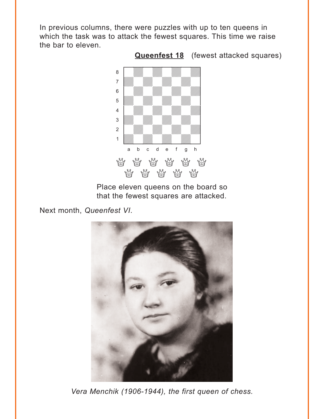<span id="page-2-0"></span>In previous columns, there were puzzles with up to ten queens in which the task was to attack the fewest squares. This time we raise the bar to eleven.



**[Queenfest 18](#page-10-0)** (fewest attacked squares)

Place eleven queens on the board so that the fewest squares are attacked.

Next month, *Queenfest VI*.



*Vera Menchik (1906-1944), the first queen of chess.*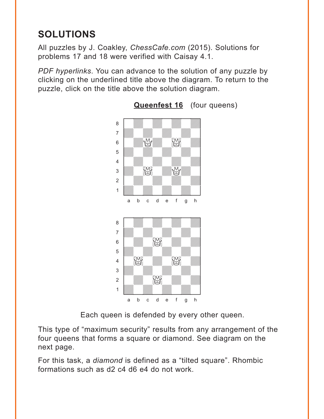# <span id="page-3-0"></span>**SOLUTIONS**

All puzzles by J. Coakley, *ChessCafe.com* (2015). Solutions for problems 17 and 18 were verified with Caisay 4.1.

*PDF hyperlinks*. You can advance to the solution of any puzzle by clicking on the underlined title above the diagram. To return to the puzzle, click on the title above the solution diagram.



#### **[Queenfest 16](#page-0-0)** (four queens)

Each queen is defended by every other queen.

This type of "maximum security" results from any arrangement of the four queens that forms a square or diamond. See diagram on the next page.

For this task, a *diamond* is defined as a "tilted square". Rhombic formations such as d2 c4 d6 e4 do not work.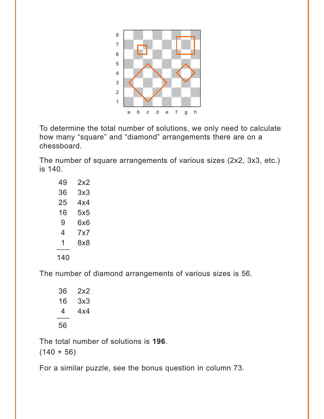

To determine the total number of solutions, we only need to calculate how many "square" and "diamond" arrangements there are on a chessboard.

The number of square arrangements of various sizes (2x2, 3x3, etc.) is 140.

| 49  | 2x2 |
|-----|-----|
| 36  | 3x3 |
| 25  | 4x4 |
| 16  | 5x5 |
| 9   | 6x6 |
| 4   | 7x7 |
| 1   | 8x8 |
| 140 |     |

The number of diamond arrangements of various sizes is 56.

| 36 | 2x2 |
|----|-----|
| 16 | 3x3 |
| 4  | 4x4 |
| 56 |     |

The total number of solutions is **196**.

 $(140 + 56)$ 

For a similar puzzle, see the bonus question in column 73.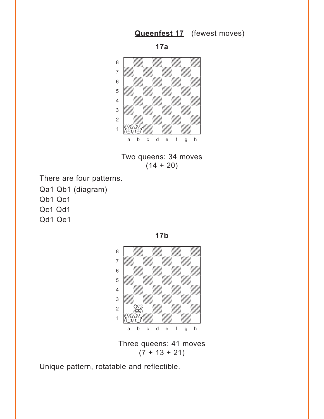### **[Queenfest 17](#page-1-0)** (fewest moves)



<span id="page-5-0"></span>

Two queens: 34 moves  $(14 + 20)$ 

- There are four patterns.
- Qa1 Qb1 (diagram) Qb1 Qc1 Qc1 Qd1 Qd1 Qe1



Three queens: 41 moves  $(7 + 13 + 21)$ 

Unique pattern, rotatable and reflectible.

**17b**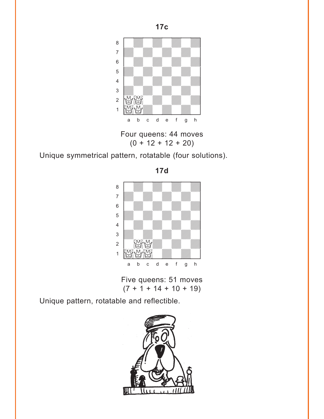

Four queens: 44 moves  $(0 + 12 + 12 + 20)$ 

Unique symmetrical pattern, rotatable (four solutions).



Five queens: 51 moves  $(7 + 1 + 14 + 10 + 19)$ 

Unique pattern, rotatable and reflectible.



**17c**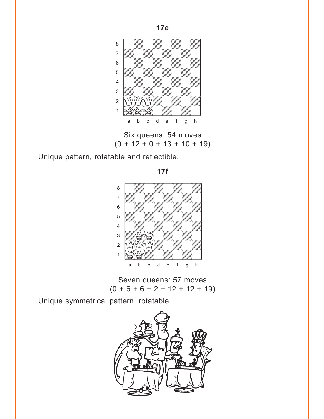

Six queens: 54 moves  $(0 + 12 + 0 + 13 + 10 + 19)$ 

Unique pattern, rotatable and reflectible.



Seven queens: 57 moves  $(0 + 6 + 6 + 2 + 12 + 12 + 19)$ 

Unique symmetrical pattern, rotatable.



**17e**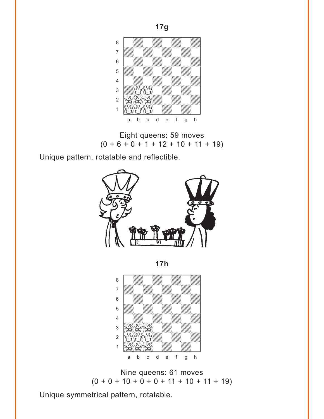

Eight queens: 59 moves  $(0 + 6 + 0 + 1 + 12 + 10 + 11 + 19)$ 

Unique pattern, rotatable and reflectible.



**17h** 



Nine queens: 61 moves  $(0 + 0 + 10 + 0 + 0 + 11 + 10 + 11 + 19)$ 

Unique symmetrical pattern, rotatable.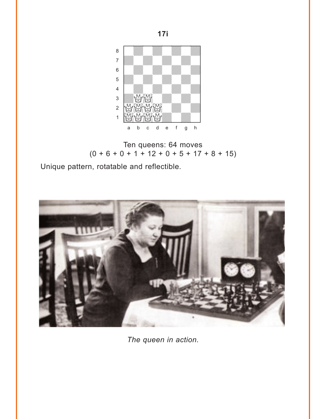

Ten queens: 64 moves  $(0 + 6 + 0 + 1 + 12 + 0 + 5 + 17 + 8 + 15)$ 

Unique pattern, rotatable and reflectible.



*The queen in action.*

**17i**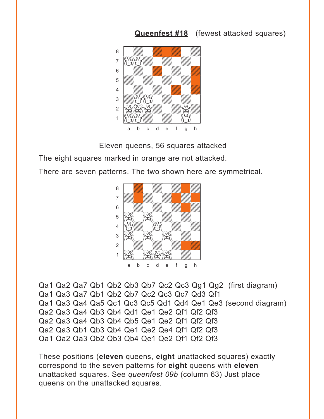#### **[Queenfest #18](#page-2-0)** (fewest attacked squares)

<span id="page-10-0"></span>

Eleven queens, 56 squares attacked

The eight squares marked in orange are not attacked.

There are seven patterns. The two shown here are symmetrical.



```
Qa1 Qa2 Qa7 Qb1 Qb2 Qb3 Qb7 Qc2 Qc3 Qg1 Qg2 (first diagram)
Qa1 Qa3 Qa7 Qb1 Qb2 Qb7 Qc2 Qc3 Qc7 Qd3 Qf1 
Qa1 Qa3 Qa4 Qa5 Qc1 Qc3 Qc5 Qd1 Qd4 Qe1 Qe3 (second diagram)
Qa2 Qa3 Qa4 Qb3 Qb4 Qd1 Qe1 Qe2 Qf1 Qf2 Qf3
Qa2 Qa3 Qa4 Qb3 Qb4 Qb5 Qe1 Qe2 Qf1 Qf2 Qf3
Qa2 Qa3 Qb1 Qb3 Qb4 Qe1 Qe2 Qe4 Qf1 Qf2 Qf3
Qa1 Qa2 Qa3 Qb2 Qb3 Qb4 Qe1 Qe2 Qf1 Qf2 Qf3
```
These positions (**eleven** queens, **eight** unattacked squares) exactly correspond to the seven patterns for **eight** queens with **eleven** unattacked squares. See *queenfest 09b* (column 63) Just place queens on the unattacked squares.